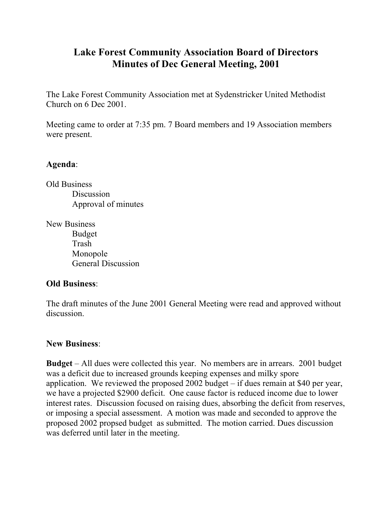## **Lake Forest Community Association Board of Directors Minutes of Dec General Meeting, 2001**

The Lake Forest Community Association met at Sydenstricker United Methodist Church on 6 Dec 2001.

Meeting came to order at 7:35 pm. 7 Board members and 19 Association members were present.

## **Agenda**:

Old Business **Discussion** Approval of minutes

New Business Budget Trash Monopole General Discussion

## **Old Business**:

The draft minutes of the June 2001 General Meeting were read and approved without discussion.

## **New Business**:

**Budget** – All dues were collected this year. No members are in arrears. 2001 budget was a deficit due to increased grounds keeping expenses and milky spore application. We reviewed the proposed 2002 budget – if dues remain at \$40 per year, we have a projected \$2900 deficit. One cause factor is reduced income due to lower interest rates. Discussion focused on raising dues, absorbing the deficit from reserves, or imposing a special assessment. A motion was made and seconded to approve the proposed 2002 propsed budget as submitted. The motion carried. Dues discussion was deferred until later in the meeting.